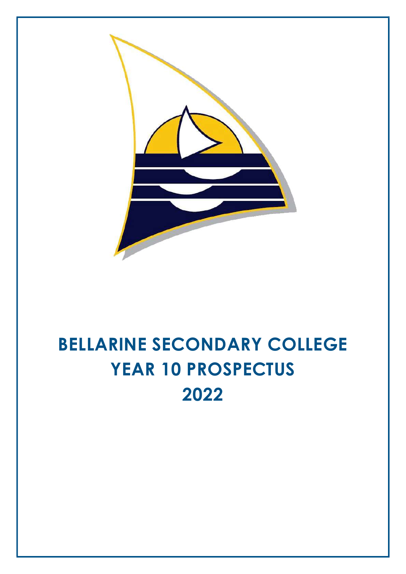

# BELLARINE SECONDARY COLLEGE YEAR 10 PROSPECTUS 2022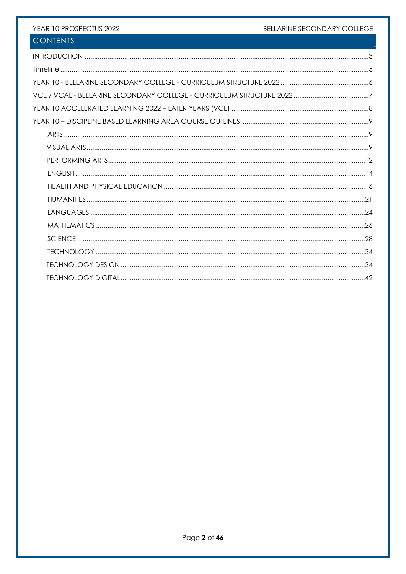# BELLARINE SECONDARY COLLEGE

# YEAR 10 PROSPECTUS 2022

# **CONTENTS**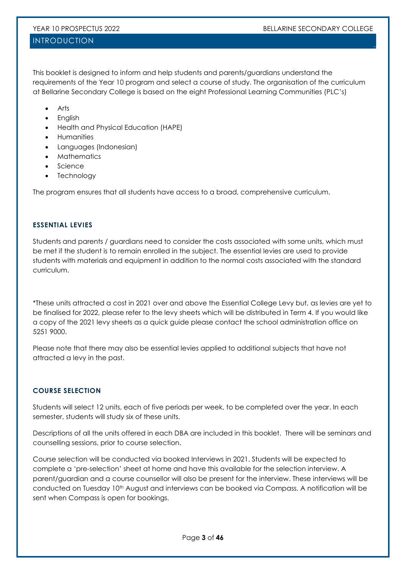# INTRODUCTION

This booklet is designed to inform and help students and parents/guardians understand the requirements of the Year 10 program and select a course of study. The organisation of the curriculum at Bellarine Secondary College is based on the eight Professional Learning Communities (PLC's)

- Arts
- English
- Health and Physical Education (HAPE)
- Humanities
- Languages (Indonesian)
- Mathematics
- Science
- **Technology**

The program ensures that all students have access to a broad, comprehensive curriculum.

# ESSENTIAL LEVIES

Students and parents / guardians need to consider the costs associated with some units, which must be met if the student is to remain enrolled in the subject. The essential levies are used to provide students with materials and equipment in addition to the normal costs associated with the standard curriculum.

\*These units attracted a cost in 2021 over and above the Essential College Levy but, as levies are yet to be finalised for 2022, please refer to the levy sheets which will be distributed in Term 4. If you would like a copy of the 2021 levy sheets as a quick guide please contact the school administration office on 5251 9000.

Please note that there may also be essential levies applied to additional subjects that have not attracted a levy in the past.

# COURSE SELECTION

Students will select 12 units, each of five periods per week, to be completed over the year. In each semester, students will study six of these units.

Descriptions of all the units offered in each DBA are included in this booklet. There will be seminars and counselling sessions, prior to course selection.

Course selection will be conducted via booked Interviews in 2021. Students will be expected to complete a 'pre-selection' sheet at home and have this available for the selection interview. A parent/guardian and a course counsellor will also be present for the interview. These interviews will be conducted on Tuesday 10<sup>th</sup> August and interviews can be booked via Compass. A notification will be sent when Compass is open for bookings.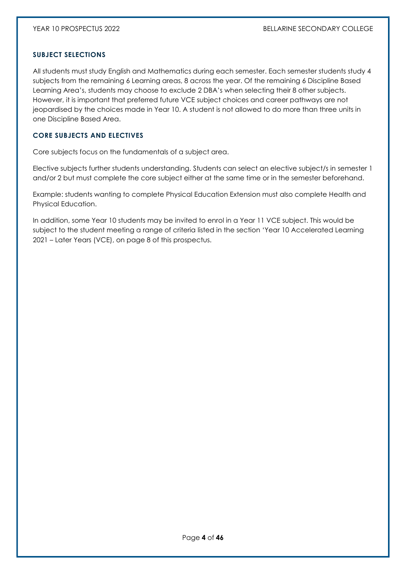# SUBJECT SELECTIONS

All students must study English and Mathematics during each semester. Each semester students study 4 subjects from the remaining 6 Learning areas, 8 across the year. Of the remaining 6 Discipline Based Learning Area's, students may choose to exclude 2 DBA's when selecting their 8 other subjects. However, it is important that preferred future VCE subject choices and career pathways are not jeopardised by the choices made in Year 10. A student is not allowed to do more than three units in one Discipline Based Area.

# CORE SUBJECTS AND ELECTIVES

Core subjects focus on the fundamentals of a subject area.

Elective subjects further students understanding. Students can select an elective subject/s in semester 1 and/or 2 but must complete the core subject either at the same time or in the semester beforehand.

Example: students wanting to complete Physical Education Extension must also complete Health and Physical Education.

In addition, some Year 10 students may be invited to enrol in a Year 11 VCE subject. This would be subject to the student meeting a range of criteria listed in the section 'Year 10 Accelerated Learning 2021 – Later Years (VCE), on page 8 of this prospectus.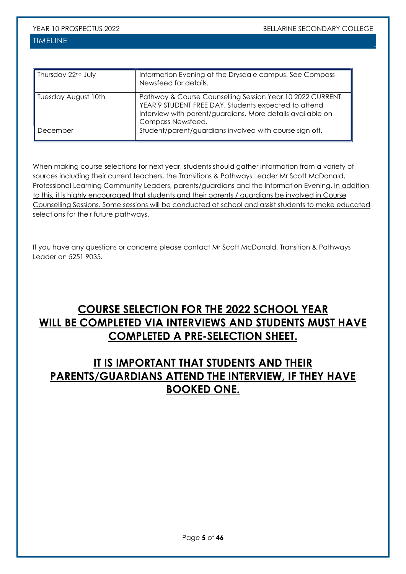# TIMELINE

| Thursday 22 <sup>nd</sup> July | Information Evening at the Drysdale campus. See Compass<br>Newsfeed for details.                                                                                                                     |
|--------------------------------|------------------------------------------------------------------------------------------------------------------------------------------------------------------------------------------------------|
| Tuesday August 10th            | Pathway & Course Counselling Session Year 10 2022 CURRENT<br>YEAR 9 STUDENT FREE DAY. Students expected to attend<br>Interview with parent/guardians. More details available on<br>Compass Newsfeed. |
| December                       | Student/parent/guardians involved with course sign off.                                                                                                                                              |

When making course selections for next year, students should gather information from a variety of sources including their current teachers, the Transitions & Pathways Leader Mr Scott McDonald, Professional Learning Community Leaders, parents/guardians and the Information Evening. In addition to this, it is highly encouraged that students and their parents / guardians be involved in Course Counselling Sessions. Some sessions will be conducted at school and assist students to make educated selections for their future pathways.

If you have any questions or concerns please contact Mr Scott McDonald, Transition & Pathways Leader on 5251 9035.

# COURSE SELECTION FOR THE 2022 SCHOOL YEAR WILL BE COMPLETED VIA INTERVIEWS AND STUDENTS MUST HAVE COMPLETED A PRE-SELECTION SHEET.

# IT IS IMPORTANT THAT STUDENTS AND THEIR PARENTS/GUARDIANS ATTEND THE INTERVIEW, IF THEY HAVE BOOKED ONE.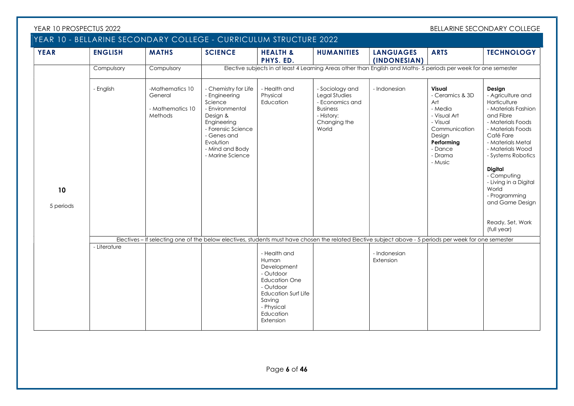| YEAR 10 PROSPECTUS 2022 |                                                                   |                                                           |                                                                                                                                                                                         |                                                                                                                                                                        |                                                                                                               |                                                                                                                                                         |                                                                                                                                                   | BELLARINE SECONDARY COLLEGE                                                                                                                                                                                                                                                                                                      |
|-------------------------|-------------------------------------------------------------------|-----------------------------------------------------------|-----------------------------------------------------------------------------------------------------------------------------------------------------------------------------------------|------------------------------------------------------------------------------------------------------------------------------------------------------------------------|---------------------------------------------------------------------------------------------------------------|---------------------------------------------------------------------------------------------------------------------------------------------------------|---------------------------------------------------------------------------------------------------------------------------------------------------|----------------------------------------------------------------------------------------------------------------------------------------------------------------------------------------------------------------------------------------------------------------------------------------------------------------------------------|
|                         | YEAR 10 - BELLARINE SECONDARY COLLEGE - CURRICULUM STRUCTURE 2022 |                                                           |                                                                                                                                                                                         |                                                                                                                                                                        |                                                                                                               |                                                                                                                                                         |                                                                                                                                                   |                                                                                                                                                                                                                                                                                                                                  |
| <b>YEAR</b>             | <b>ENGLISH</b>                                                    | <b>MATHS</b>                                              | <b>SCIENCE</b>                                                                                                                                                                          | <b>HEALTH &amp;</b><br>PHYS. ED.                                                                                                                                       | <b>HUMANITIES</b>                                                                                             | <b>LANGUAGES</b><br>(INDONESIAN)                                                                                                                        | <b>ARTS</b>                                                                                                                                       | <b>TECHNOLOGY</b>                                                                                                                                                                                                                                                                                                                |
|                         | Compulsory                                                        | Compulsory                                                |                                                                                                                                                                                         |                                                                                                                                                                        |                                                                                                               | Elective subjects in at least 4 Learning Areas other than English and Maths- 5 periods per week for one semester                                        |                                                                                                                                                   |                                                                                                                                                                                                                                                                                                                                  |
| 10<br>5 periods         | - English                                                         | -Mathematics 10<br>General<br>- Mathematics 10<br>Methods | - Chemistry for Life<br>- Engineering<br>Science<br>- Environmental<br>Design &<br>Engineering<br>- Forensic Science<br>- Genes and<br>Evolution<br>- Mind and Body<br>- Marine Science | - Health and<br>Physical<br>Education                                                                                                                                  | - Sociology and<br>Legal Studies<br>- Economics and<br><b>Business</b><br>- History:<br>Changing the<br>World | - Indonesian                                                                                                                                            | Visual<br>- Ceramics & 3D<br>Art<br>- Media<br>- Visual Art<br>- Visual<br>Communication<br>Design<br>Performing<br>- Dance<br>- Drama<br>- Music | Design<br>- Agriculture and<br>Horticulture<br>- Materials Fashion<br>and Fibre<br>- Materials Foods<br>- Materials Foods<br>Café Fare<br>- Materials Metal<br>- Materials Wood<br>- Systems Robotics<br><b>Digital</b><br>- Computing<br>- Living in a Digital<br>World<br>- Programming<br>and Game Design<br>Ready, Set, Work |
|                         |                                                                   |                                                           |                                                                                                                                                                                         |                                                                                                                                                                        |                                                                                                               |                                                                                                                                                         |                                                                                                                                                   | (full year)                                                                                                                                                                                                                                                                                                                      |
|                         | - Literature                                                      |                                                           |                                                                                                                                                                                         |                                                                                                                                                                        |                                                                                                               | Electives - If selecting one of the below electives, students must have chosen the related Elective subject above - 5 periods per week for one semester |                                                                                                                                                   |                                                                                                                                                                                                                                                                                                                                  |
|                         |                                                                   |                                                           |                                                                                                                                                                                         | - Health and<br>Human<br>Development<br>- Outdoor<br><b>Education One</b><br>- Outdoor<br><b>Education Surf Life</b><br>Saving<br>- Physical<br>Education<br>Extension |                                                                                                               | - Indonesian<br>Extension                                                                                                                               |                                                                                                                                                   |                                                                                                                                                                                                                                                                                                                                  |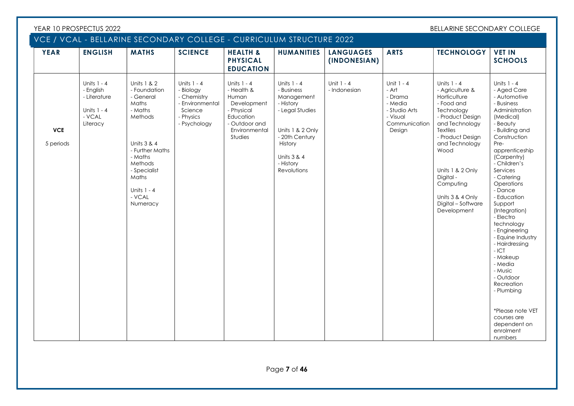|                         |                                                                                   | VCE / VCAL - BELLARINE SECONDARY COLLEGE - CURRICULUM STRUCTURE 2022                                                                                                                          |                                                                                                      |                                                                                                                           |                                                                                                                                                                     |                                  |                                                                                                   |                                                                                                                                                                                                                                                                                         |                                                                                                                                                                                                                                                                                                                                                                                                                                                                      |
|-------------------------|-----------------------------------------------------------------------------------|-----------------------------------------------------------------------------------------------------------------------------------------------------------------------------------------------|------------------------------------------------------------------------------------------------------|---------------------------------------------------------------------------------------------------------------------------|---------------------------------------------------------------------------------------------------------------------------------------------------------------------|----------------------------------|---------------------------------------------------------------------------------------------------|-----------------------------------------------------------------------------------------------------------------------------------------------------------------------------------------------------------------------------------------------------------------------------------------|----------------------------------------------------------------------------------------------------------------------------------------------------------------------------------------------------------------------------------------------------------------------------------------------------------------------------------------------------------------------------------------------------------------------------------------------------------------------|
| <b>YEAR</b>             | <b>ENGLISH</b>                                                                    | <b>MATHS</b>                                                                                                                                                                                  | <b>SCIENCE</b>                                                                                       | <b>HEALTH &amp;</b><br><b>PHYSICAL</b><br><b>EDUCATION</b>                                                                | <b>HUMANITIES</b>                                                                                                                                                   | <b>LANGUAGES</b><br>(INDONESIAN) | <b>ARTS</b>                                                                                       | <b>TECHNOLOGY</b>                                                                                                                                                                                                                                                                       | <b>VET IN</b><br><b>SCHOOLS</b>                                                                                                                                                                                                                                                                                                                                                                                                                                      |
| <b>VCE</b><br>5 periods | Units $1 - 4$<br>- English<br>- Literature<br>Units $1 - 4$<br>- VCAL<br>Literacy | Units 1 & 2<br>- Foundation<br>- General<br>Maths<br>- Maths<br>Methods<br>Units 3 & 4<br>- Further Maths<br>- Maths<br>Methods<br>- Specialist<br>Maths<br>Units 1 - 4<br>- VCAL<br>Numeracy | Units $1 - 4$<br>- Biology<br>- Chemistry<br>- Environmental<br>Science<br>- Physics<br>- Psychology | Units 1 - 4<br>- Health &<br>Human<br>Development<br>- Physical<br>Education<br>- Outdoor and<br>Environmental<br>Studies | Units 1 - 4<br>- Business<br>Management<br>- History<br>- Legal Studies<br>Units 1 & 2 Only<br>- 20th Century<br>History<br>Units 3 & 4<br>- History<br>Revolutions | Unit $1 - 4$<br>- Indonesian     | Unit 1 - 4<br>- Art<br>- Drama<br>- Media<br>- Studio Arts<br>- Visual<br>Communication<br>Design | Units 1 - 4<br>- Agriculture &<br>Horticulture<br>- Food and<br>Technology<br>- Product Design<br>and Technology<br><b>Textiles</b><br>- Product Design<br>and Technology<br>Wood<br>Units 1 & 2 Only<br>Digital-<br>Computing<br>Units 3 & 4 Only<br>Digital - Software<br>Development | Units 1 - 4<br>- Aged Care<br>- Automotive<br>- Business<br>Administration<br>(Medical)<br>- Beauty<br>- Building and<br>Construction<br>Pre-<br>apprenticeship<br>(Carpentry)<br>- Children's<br>Services<br>- Catering<br>Operations<br>- Dance<br>- Education<br>Support<br>(Integration)<br>- Electro<br>technology<br>- Engineering<br>- Equine Industry<br>- Hairdressing<br>$-ICT$<br>- Makeup<br>- Media<br>- Music<br>- Outdoor<br>Recreation<br>- Plumbing |
|                         |                                                                                   |                                                                                                                                                                                               |                                                                                                      |                                                                                                                           |                                                                                                                                                                     |                                  |                                                                                                   |                                                                                                                                                                                                                                                                                         | *Please note VET<br>courses are<br>dependent on<br>enrolment                                                                                                                                                                                                                                                                                                                                                                                                         |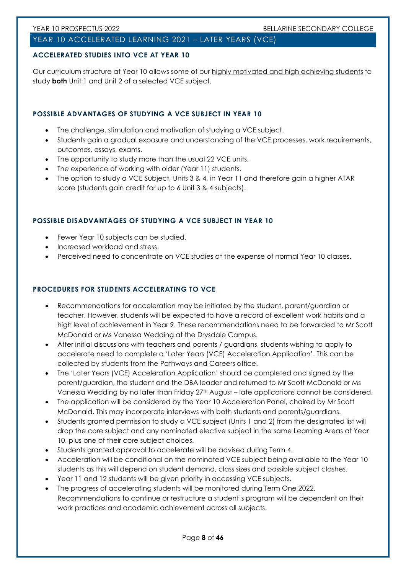# YEAR 10 ACCELERATED LEARNING 2021 – LATER YEARS (VCE)

# ACCELERATED STUDIES INTO VCE AT YEAR 10

Our curriculum structure at Year 10 allows some of our highly motivated and high achieving students to study **both** Unit 1 and Unit 2 of a selected VCE subject.

# POSSIBLE ADVANTAGES OF STUDYING A VCE SUBJECT IN YEAR 10

- The challenge, stimulation and motivation of studying a VCE subject.
- Students gain a gradual exposure and understanding of the VCE processes, work requirements, outcomes, essays, exams.
- The opportunity to study more than the usual 22 VCE units.
- The experience of working with older (Year 11) students.
- The option to study a VCE Subject, Units 3 & 4, in Year 11 and therefore gain a higher ATAR score (students gain credit for up to 6 Unit 3 & 4 subjects).

# POSSIBLE DISADVANTAGES OF STUDYING A VCE SUBJECT IN YEAR 10

- Fewer Year 10 subjects can be studied.
- Increased workload and stress.
- Perceived need to concentrate on VCE studies at the expense of normal Year 10 classes.

# PROCEDURES FOR STUDENTS ACCELERATING TO VCE

- Recommendations for acceleration may be initiated by the student, parent/guardian or teacher. However, students will be expected to have a record of excellent work habits and a high level of achievement in Year 9. These recommendations need to be forwarded to Mr Scott McDonald or Ms Vanessa Wedding at the Drysdale Campus.
- After initial discussions with teachers and parents / guardians, students wishing to apply to accelerate need to complete a 'Later Years (VCE) Acceleration Application'. This can be collected by students from the Pathways and Careers office.
- The 'Later Years (VCE) Acceleration Application' should be completed and signed by the parent/guardian, the student and the DBA leader and returned to Mr Scott McDonald or Ms Vanessa Wedding by no later than Friday 27<sup>th</sup> August – late applications cannot be considered.
- The application will be considered by the Year 10 Acceleration Panel, chaired by Mr Scott McDonald. This may incorporate interviews with both students and parents/guardians.
- Students granted permission to study a VCE subject (Units 1 and 2) from the designated list will drop the core subject and any nominated elective subject in the same Learning Areas at Year 10, plus one of their core subject choices.
- Students granted approval to accelerate will be advised during Term 4.
- Acceleration will be conditional on the nominated VCE subject being available to the Year 10 students as this will depend on student demand, class sizes and possible subject clashes.
- Year 11 and 12 students will be given priority in accessing VCE subjects.
- The progress of accelerating students will be monitored during Term One 2022. Recommendations to continue or restructure a student's program will be dependent on their work practices and academic achievement across all subjects.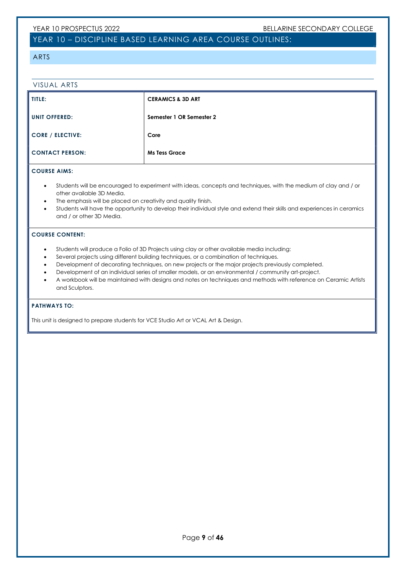# YEAR 10 – DISCIPLINE BASED LEARNING AREA COURSE OUTLINES:

#### ARTS

| VISUAL ARTS             |                              |
|-------------------------|------------------------------|
| TITLE:                  | <b>CERAMICS &amp; 3D ART</b> |
| <b>UNIT OFFERED:</b>    | Semester 1 OR Semester 2     |
| <b>CORE / ELECTIVE:</b> | Core                         |
| <b>CONTACT PERSON:</b>  | <b>Ms Tess Grace</b>         |

#### COURSE AIMS:

- Students will be encouraged to experiment with ideas, concepts and techniques, with the medium of clay and / or other available 3D Media.
- The emphasis will be placed on creativity and quality finish.
- Students will have the opportunity to develop their individual style and extend their skills and experiences in ceramics and / or other 3D Media.

#### COURSE CONTENT:

- Students will produce a Folio of 3D Projects using clay or other available media including:
- Several projects using different building techniques, or a combination of techniques.
- Development of decorating techniques, on new projects or the major projects previously completed.
- Development of an individual series of smaller models, or an environmental / community art-project.
- A workbook will be maintained with designs and notes on techniques and methods with reference on Ceramic Artists and Sculptors.

#### PATHWAYS TO:

This unit is designed to prepare students for VCE Studio Art or VCAL Art & Design.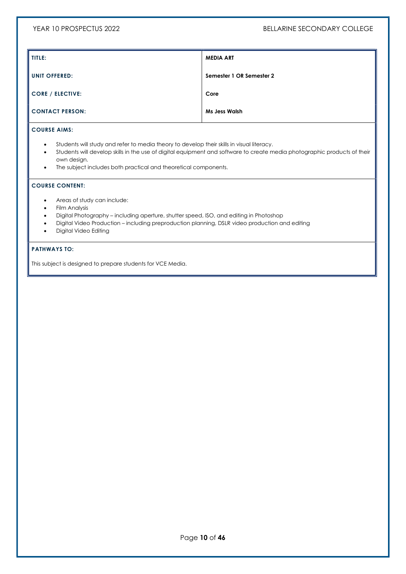| TITLE:                  | <b>MEDIA ART</b>         |
|-------------------------|--------------------------|
| <b>UNIT OFFERED:</b>    | Semester 1 OR Semester 2 |
| <b>CORE / ELECTIVE:</b> | Core                     |
| <b>CONTACT PERSON:</b>  | <b>Ms Jess Walsh</b>     |
| <b>COURSE AIMS:</b>     |                          |

- Students will study and refer to media theory to develop their skills in visual literacy.
- Students will develop skills in the use of digital equipment and software to create media photographic products of their own design.
- The subject includes both practical and theoretical components.

### COURSE CONTENT:

- Areas of study can include:
- Film Analysis
- Digital Photography including aperture, shutter speed, ISO, and editing in Photoshop
- Digital Video Production including preproduction planning, DSLR video production and editing
- Digital Video Editing

#### PATHWAYS TO:

This subject is designed to prepare students for VCE Media.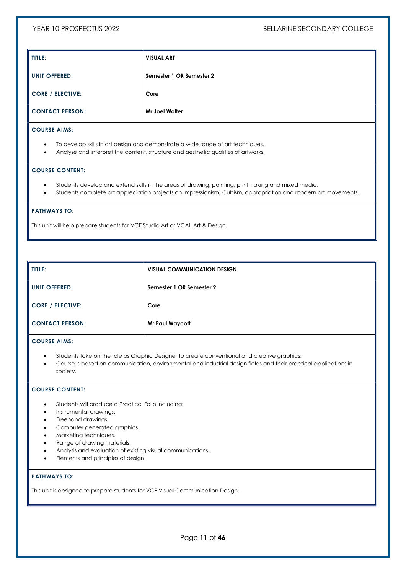| TITLE:                  | <b>VISUAL ART</b>        |
|-------------------------|--------------------------|
| <b>UNIT OFFERED:</b>    | Semester 1 OR Semester 2 |
| <b>CORE / ELECTIVE:</b> | Core                     |
| <b>CONTACT PERSON:</b>  | Mr Joel Wolter           |

- To develop skills in art design and demonstrate a wide range of art techniques.
- Analyse and interpret the content, structure and aesthetic qualities of artworks.

#### COURSE CONTENT:

- Students develop and extend skills in the areas of drawing, painting, printmaking and mixed media.
- Students complete art appreciation projects on Impressionism, Cubism, appropriation and modern art movements.

#### PATHWAYS TO:

This unit will help prepare students for VCE Studio Art or VCAL Art & Design.

| TITLE:                  | <b>VISUAL COMMUNICATION DESIGN</b> |
|-------------------------|------------------------------------|
| <b>UNIT OFFERED:</b>    | Semester 1 OR Semester 2           |
| <b>CORE / ELECTIVE:</b> | Core                               |
| <b>CONTACT PERSON:</b>  | <b>Mr Paul Waycott</b>             |

#### COURSE AIMS:

- Students take on the role as Graphic Designer to create conventional and creative graphics.
- Course is based on communication, environmental and industrial design fields and their practical applications in society.

#### COURSE CONTENT:

- Students will produce a Practical Folio including:
- Instrumental drawings.
- Freehand drawings.
- Computer generated graphics.
- Marketing techniques.
- Range of drawing materials.
- Analysis and evaluation of existing visual communications.
- Elements and principles of design.

#### PATHWAYS TO:

This unit is designed to prepare students for VCE Visual Communication Design.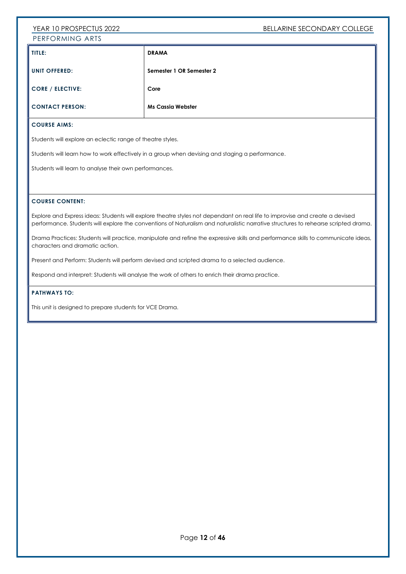# YEAR 10 PROSPECTUS 2022 BELLARINE SECONDARY COLLEGE PERFORMING ARTS

| TITLE:                  | <b>DRAMA</b>             |
|-------------------------|--------------------------|
| UNIT OFFERED:           | Semester 1 OR Semester 2 |
| <b>CORE / ELECTIVE:</b> | Core                     |
| <b>CONTACT PERSON:</b>  | <b>Ms Cassia Webster</b> |

# COURSE AIMS:

Students will explore an eclectic range of theatre styles.

Students will learn how to work effectively in a group when devising and staging a performance.

Students will learn to analyse their own performances.

#### COURSE CONTENT:

Explore and Express ideas: Students will explore theatre styles not dependant on real life to improvise and create a devised performance. Students will explore the conventions of Naturalism and naturalistic narrative structures to rehearse scripted drama.

Drama Practices: Students will practice, manipulate and refine the expressive skills and performance skills to communicate ideas, characters and dramatic action.

Present and Perform: Students will perform devised and scripted drama to a selected audience.

Respond and interpret: Students will analyse the work of others to enrich their drama practice.

#### PATHWAYS TO:

This unit is designed to prepare students for VCE Drama.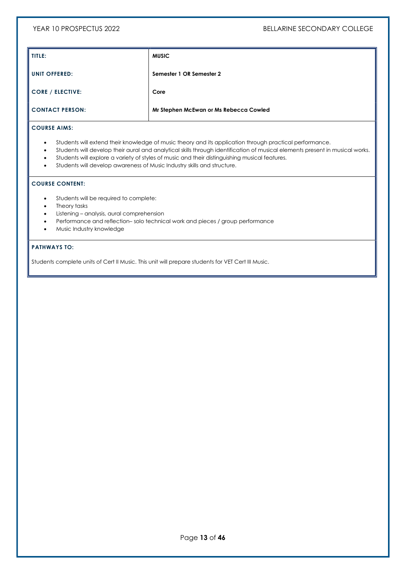| TITLE:                  | <b>MUSIC</b>                           |
|-------------------------|----------------------------------------|
| <b>UNIT OFFERED:</b>    | Semester 1 OR Semester 2               |
| <b>CORE / ELECTIVE:</b> | Core                                   |
| <b>CONTACT PERSON:</b>  | Mr Stephen McEwan or Ms Rebecca Cowled |

#### COURSE AIMS:

- Students will extend their knowledge of music theory and its application through practical performance.
- Students will develop their aural and analytical skills through identification of musical elements present in musical works.
- Students will explore a variety of styles of music and their distinguishing musical features.
- Students will develop awareness of Music Industry skills and structure.

#### COURSE CONTENT:

- Students will be required to complete:
- Theory tasks
- Listening analysis, aural comprehension
- Performance and reflection– solo technical work and pieces / group performance
- Music Industry knowledge

### PATHWAYS TO:

Students complete units of Cert II Music. This unit will prepare students for VET Cert III Music.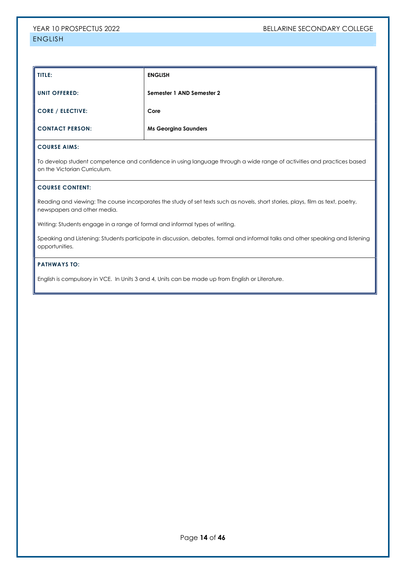| TITLE:                 | <b>ENGLISH</b>              |
|------------------------|-----------------------------|
| <b>UNIT OFFERED:</b>   | Semester 1 AND Semester 2   |
| CORE / ELECTIVE:       | Core                        |
| <b>CONTACT PERSON:</b> | <b>Ms Georgina Saunders</b> |

To develop student competence and confidence in using language through a wide range of activities and practices based on the Victorian Curriculum.

#### COURSE CONTENT:

Reading and viewing: The course incorporates the study of set texts such as novels, short stories, plays, film as text, poetry, newspapers and other media.

Writing: Students engage in a range of formal and informal types of writing.

Speaking and Listening: Students participate in discussion, debates, formal and informal talks and other speaking and listening opportunities.

### PATHWAYS TO:

English is compulsory in VCE. In Units 3 and 4, Units can be made up from English or Literature.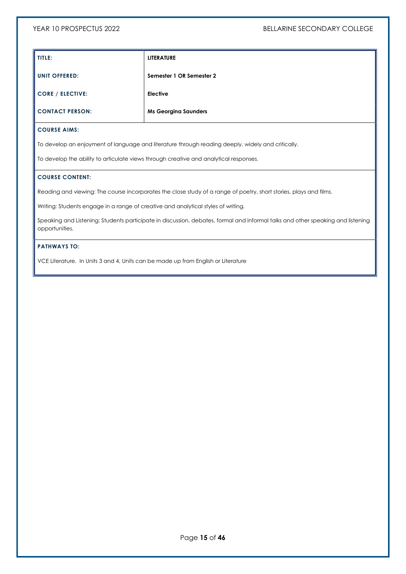| TITLE:                  | <b>LITERATURE</b>           |
|-------------------------|-----------------------------|
| <b>UNIT OFFERED:</b>    | Semester 1 OR Semester 2    |
| <b>CORE / ELECTIVE:</b> | <b>Elective</b>             |
| <b>CONTACT PERSON:</b>  | <b>Ms Georgina Saunders</b> |

To develop an enjoyment of language and literature through reading deeply, widely and critically.

To develop the ability to articulate views through creative and analytical responses.

#### COURSE CONTENT:

Reading and viewing: The course incorporates the close study of a range of poetry, short stories, plays and films.

Writing: Students engage in a range of creative and analytical styles of writing.

Speaking and Listening: Students participate in discussion, debates, formal and informal talks and other speaking and listening opportunities.

#### PATHWAYS TO:

VCE Literature. In Units 3 and 4, Units can be made up from English or Literature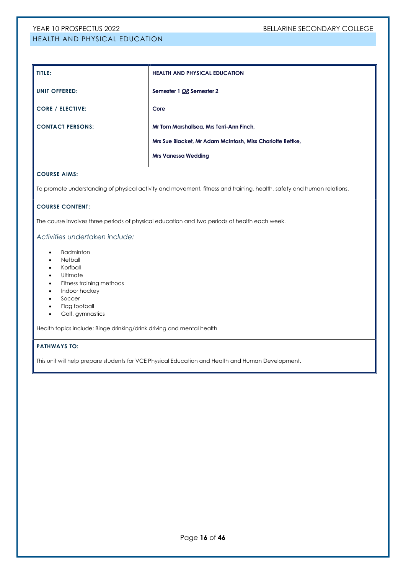# YEAR 10 PROSPECTUS 2022 BELLARINE SECONDARY COLLEGE HEALTH AND PHYSICAL EDUCATION

# TITLE: **HEALTH AND PHYSICAL EDUCATION** UNIT OFFERED: Semester 1 OR Semester 2 CORE / ELECTIVE: Core CONTACT PERSONS: Mr Tom Marshallsea, Mrs Terri-Ann Finch, Mrs Sue Blacket, Mr Adam McIntosh, Miss Charlotte Rettke, Mrs Vanessa Wedding

#### COURSE AIMS:

To promote understanding of physical activity and movement, fitness and training, health, safety and human relations.

#### COURSE CONTENT:

The course involves three periods of physical education and two periods of health each week.

#### Activities undertaken include:

- Badminton
- Netball
- Korfball
- Ultimate
- Fitness training methods
- Indoor hockey
- Soccer
- Flag football
- Golf, gymnastics

Health topics include: Binge drinking/drink driving and mental health

#### PATHWAYS TO:

This unit will help prepare students for VCE Physical Education and Health and Human Development.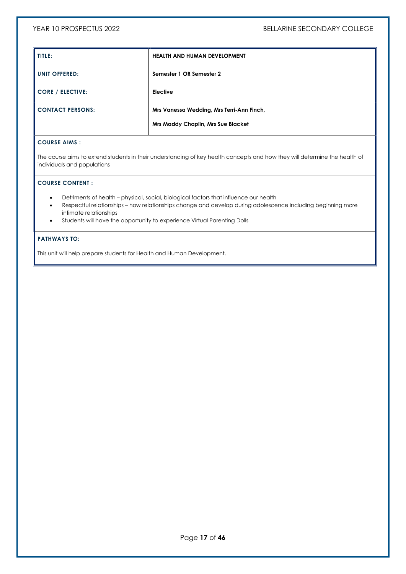| TITLE:                  | <b>HEALTH AND HUMAN DEVELOPMENT</b>       |
|-------------------------|-------------------------------------------|
| <b>UNIT OFFERED:</b>    | Semester 1 OR Semester 2                  |
| <b>CORE / ELECTIVE:</b> | <b>Elective</b>                           |
| <b>CONTACT PERSONS:</b> | Mrs Vanessa Wedding, Mrs Terri-Ann Finch, |
|                         | <b>Mrs Maddy Chaplin, Mrs Sue Blacket</b> |

### COURSE AIMS :

The course aims to extend students in their understanding of key health concepts and how they will determine the health of individuals and populations

### COURSE CONTENT :

- Detriments of health physical, social, biological factors that influence our health
- Respectful relationships how relationships change and develop during adolescence including beginning more intimate relationships
- Students will have the opportunity to experience Virtual Parenting Dolls

#### PATHWAYS TO:

This unit will help prepare students for Health and Human Development.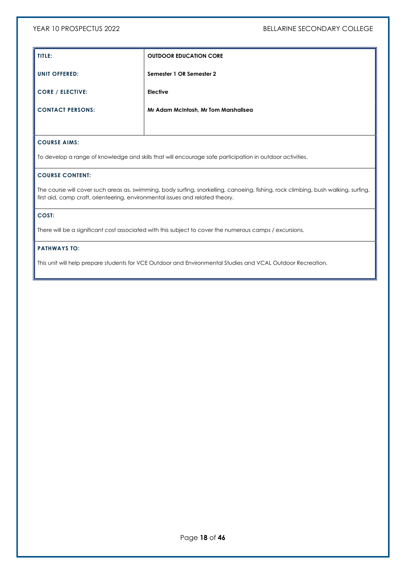| TITLE:                  | <b>OUTDOOR EDUCATION CORE</b>        |
|-------------------------|--------------------------------------|
| <b>UNIT OFFERED:</b>    | Semester 1 OR Semester 2             |
| <b>CORE / ELECTIVE:</b> | Elective                             |
| <b>CONTACT PERSONS:</b> | Mr Adam McIntosh, Mr Tom Marshallsea |
|                         |                                      |

### COURSE AIMS:

To develop a range of knowledge and skills that will encourage safe participation in outdoor activities.

#### COURSE CONTENT:

The course will cover such areas as, swimming, body surfing, snorkelling, canoeing, fishing, rock climbing, bush walking, surfing, first aid, camp craft, orienteering, environmental issues and related theory.

#### COST:

There will be a significant cost associated with this subject to cover the numerous camps / excursions.

#### PATHWAYS TO:

This unit will help prepare students for VCE Outdoor and Environmental Studies and VCAL Outdoor Recreation.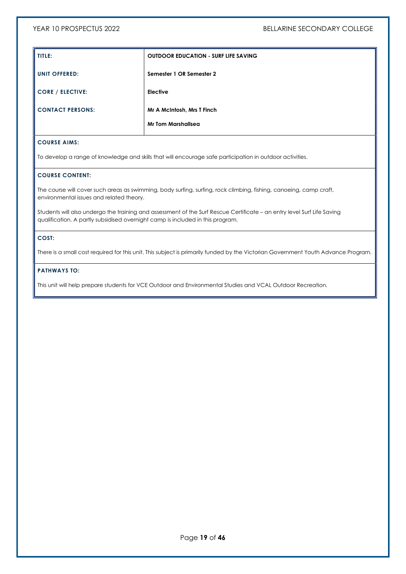| TITLE:                  | <b>OUTDOOR EDUCATION - SURF LIFE SAVING</b> |
|-------------------------|---------------------------------------------|
| <b>UNIT OFFERED:</b>    | Semester 1 OR Semester 2                    |
| <b>CORE / ELECTIVE:</b> | Elective                                    |
| <b>CONTACT PERSONS:</b> | Mr A McIntosh, Mrs T Finch                  |
|                         | <b>Mr Tom Marshallsea</b>                   |

To develop a range of knowledge and skills that will encourage safe participation in outdoor activities.

### COURSE CONTENT:

The course will cover such areas as swimming, body surfing, surfing, rock climbing, fishing, canoeing, camp craft, environmental issues and related theory.

Students will also undergo the training and assessment of the Surf Rescue Certificate – an entry level Surf Life Saving qualification. A partly subsidised overnight camp is included in this program.

### COST:

There is a small cost required for this unit. This subject is primarily funded by the Victorian Government Youth Advance Program.

## PATHWAYS TO:

This unit will help prepare students for VCE Outdoor and Environmental Studies and VCAL Outdoor Recreation.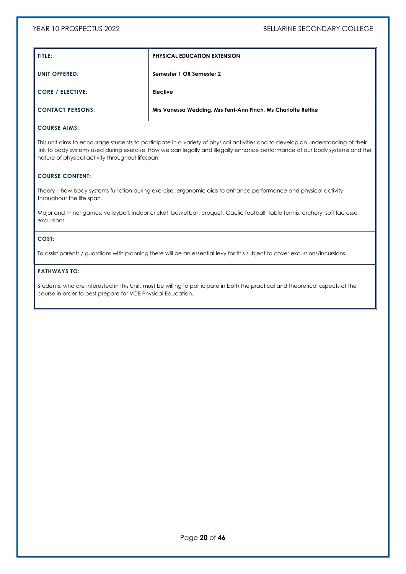| TITLE:                  | <b>PHYSICAL EDUCATION EXTENSION</b>                           |
|-------------------------|---------------------------------------------------------------|
| UNIT OFFERED:           | Semester 1 OR Semester 2                                      |
| <b>CORE / ELECTIVE:</b> | Elective                                                      |
| <b>CONTACT PERSONS:</b> | Mrs Vanessa Wedding, Mrs Terri-Ann Finch, Ms Charlotte Rettke |

This unit aims to encourage students to participate in a variety of physical activities and to develop an understanding of their link to body systems used during exercise, how we can legally and illegally enhance performance of our body systems and the nature of physical activity throughout lifespan.

#### COURSE CONTENT:

Theory – how body systems function during exercise, ergonomic aids to enhance performance and physical activity throughout the life span.

Major and minor games, volleyball, indoor cricket, basketball, croquet, Gaelic football, table tennis, archery, soft lacrosse, excursions.

#### COST:

To assist parents / guardians with planning there will be an essential levy for this subject to cover excursions/incursions.

### PATHWAYS TO:

Students, who are interested in this Unit, must be willing to participate in both the practical and theoretical aspects of the course in order to best prepare for VCE Physical Education.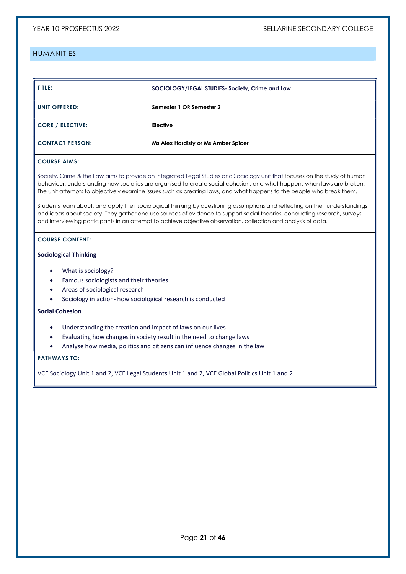# HUMANITIES

| TITLE:                  | SOCIOLOGY/LEGAL STUDIES- Society, Crime and Law. |
|-------------------------|--------------------------------------------------|
| UNIT OFFERED:           | Semester 1 OR Semester 2                         |
| <b>CORE / ELECTIVE:</b> | Elective                                         |
| <b>CONTACT PERSON:</b>  | Ms Alex Hardisty or Ms Amber Spicer              |

# COURSE AIMS:

Society, Crime & the Law aims to provide an integrated Legal Studies and Sociology unit that focuses on the study of human behaviour, understanding how societies are organised to create social cohesion, and what happens when laws are broken. The unit attempts to objectively examine issues such as creating laws, and what happens to the people who break them.

Students learn about, and apply their sociological thinking by questioning assumptions and reflecting on their understandings and ideas about society. They gather and use sources of evidence to support social theories, conducting research, surveys and interviewing participants in an attempt to achieve objective observation, collection and analysis of data.

#### COURSE CONTENT:

#### Sociological Thinking

- What is sociology?
- Famous sociologists and their theories
- Areas of sociological research
- Sociology in action- how sociological research is conducted

#### Social Cohesion

- Understanding the creation and impact of laws on our lives
- Evaluating how changes in society result in the need to change laws
- Analyse how media, politics and citizens can influence changes in the law

#### PATHWAYS TO:

VCE Sociology Unit 1 and 2, VCE Legal Students Unit 1 and 2, VCE Global Politics Unit 1 and 2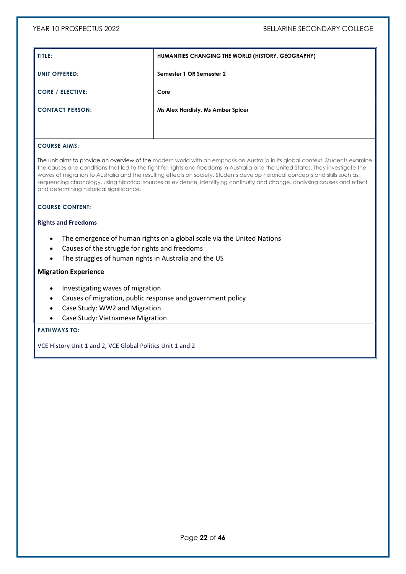| TITLE:                  | HUMANITIES CHANGING THE WORLD (HISTORY, GEOGRAPHY) |
|-------------------------|----------------------------------------------------|
| <b>UNIT OFFERED:</b>    | Semester 1 OR Semester 2                           |
| <b>CORE / ELECTIVE:</b> | Core                                               |
| <b>CONTACT PERSON:</b>  | Ms Alex Hardisty, Ms Amber Spicer                  |
|                         |                                                    |

# COURSE AIMS:

The unit aims to provide an overview of the modern world with an emphasis on Australia in its global context. Students examine the causes and conditions that led to the fight for rights and freedoms in Australia and the United States. They investigate the waves of migration to Australia and the resulting effects on society. Students develop historical concepts and skills such as: sequencing chronology, using historical sources as evidence, identifying continuity and change, analysing causes and effect and determining historical significance.

# COURSE CONTENT:

### Rights and Freedoms

- The emergence of human rights on a global scale via the United Nations
- Causes of the struggle for rights and freedoms
- The struggles of human rights in Australia and the US

#### Migration Experience

- Investigating waves of migration
- Causes of migration, public response and government policy
- Case Study: WW2 and Migration
- Case Study: Vietnamese Migration

#### PATHWAYS TO:

VCE History Unit 1 and 2, VCE Global Politics Unit 1 and 2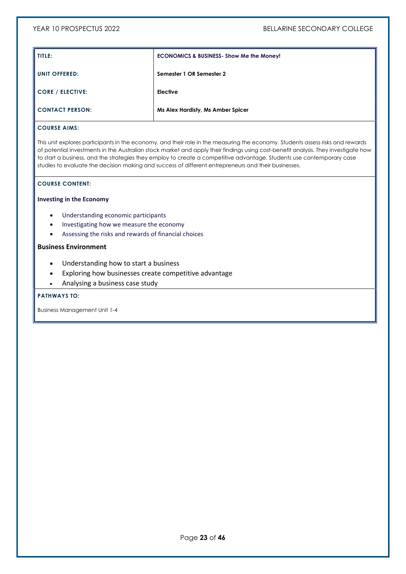| I TITLE:             | <b>ECONOMICS &amp; BUSINESS- Show Me the Money!</b> |
|----------------------|-----------------------------------------------------|
| <b>UNIT OFFERED:</b> | Semester 1 OR Semester 2                            |
| CORE / ELECTIVE:     | <b>Elective</b>                                     |
| I CONTACT PERSON:    | Ms Alex Hardisty, Ms Amber Spicer                   |

This unit explores participants in the economy, and their role in the measuring the economy. Students assess risks and rewards of potential investments in the Australian stock market and apply their findings using cost-benefit analysis. They investigate how to start a business, and the strategies they employ to create a competitive advantage. Students use contemporary case studies to evaluate the decision making and success of different entrepreneurs and their businesses.

#### COURSE CONTENT:

### Investing in the Economy

- Understanding economic participants
- Investigating how we measure the economy
- Assessing the risks and rewards of financial choices

#### Business Environment

- Understanding how to start a business
- Exploring how businesses create competitive advantage
- Analysing a business case study

#### PATHWAYS TO:

Business Management Unit 1-4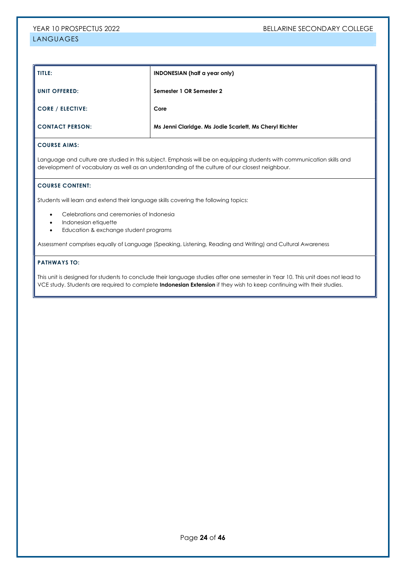# TITLE: INDONESIAN (half a year only) UNIT OFFERED: Semester 1 OR Semester 2 CORE / ELECTIVE: Core CONTACT PERSON: Ms Jenni Claridge. Ms Jodie Scarlett, Ms Cheryl Richter

#### COURSE AIMS:

Language and culture are studied in this subject. Emphasis will be on equipping students with communication skills and development of vocabulary as well as an understanding of the culture of our closest neighbour.

#### COURSE CONTENT:

Students will learn and extend their language skills covering the following topics:

- Celebrations and ceremonies of Indonesia
- Indonesian etiquette
- Education & exchange student programs

Assessment comprises equally of Language (Speaking, Listening, Reading and Writing) and Cultural Awareness

#### PATHWAYS TO:

This unit is designed for students to conclude their language studies after one semester in Year 10. This unit does not lead to VCE study. Students are required to complete Indonesian Extension if they wish to keep continuing with their studies.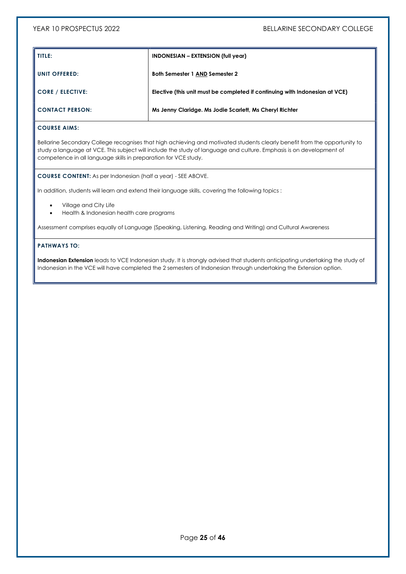| TITLE:                  | <b>INDONESIAN – EXTENSION (full year)</b>                                   |
|-------------------------|-----------------------------------------------------------------------------|
| UNIT OFFERED:           | <b>Both Semester 1 AND Semester 2</b>                                       |
| <b>CORE / ELECTIVE:</b> | Elective (this unit must be completed if continuing with Indonesian at VCE) |
| <b>CONTACT PERSON:</b>  | Ms Jenny Claridge. Ms Jodie Scarlett, Ms Cheryl Richter                     |

Bellarine Secondary College recognises that high achieving and motivated students clearly benefit from the opportunity to study a language at VCE. This subject will include the study of language and culture. Emphasis is on development of competence in all language skills in preparation for VCE study.

COURSE CONTENT: As per Indonesian (half a year) - SEE ABOVE.

In addition, students will learn and extend their language skills, covering the following topics :

- Village and City Life
- Health & Indonesian health care programs

Assessment comprises equally of Language (Speaking, Listening, Reading and Writing) and Cultural Awareness

### PATHWAYS TO:

Indonesian Extension leads to VCE Indonesian study. It is strongly advised that students anticipating undertaking the study of Indonesian in the VCE will have completed the 2 semesters of Indonesian through undertaking the Extension option.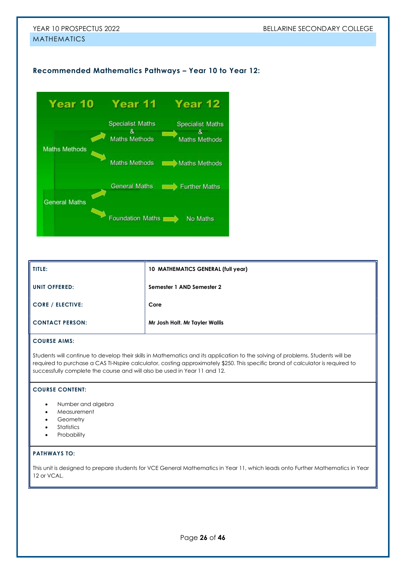# Recommended Mathematics Pathways – Year 10 to Year 12:



| TITLE:                  | 10 MATHEMATICS GENERAL (full year) |
|-------------------------|------------------------------------|
| <b>UNIT OFFERED:</b>    | Semester 1 AND Semester 2          |
| <b>CORE / ELECTIVE:</b> | Core                               |
| <b>CONTACT PERSON:</b>  | Mr Josh Holt. Mr Tayler Wallis     |

## COURSE AIMS:

Students will continue to develop their skills in Mathematics and its application to the solving of problems. Students will be required to purchase a CAS TI-Nspire calculator, costing approximately \$250. This specific brand of calculator is required to successfully complete the course and will also be used in Year 11 and 12.

#### COURSE CONTENT:

- Number and algebra
- Measurement
- **Geometry**
- **Statistics**
- **Probability**

#### PATHWAYS TO:

This unit is designed to prepare students for VCE General Mathematics in Year 11, which leads onto Further Mathematics in Year 12 or VCAL.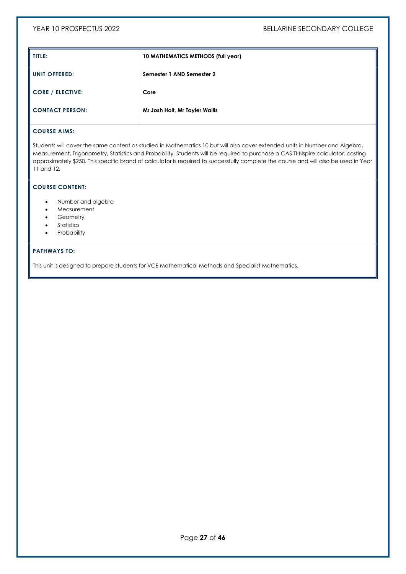| TITLE:                  | 10 MATHEMATICS METHODS (full year) |
|-------------------------|------------------------------------|
| <b>UNIT OFFERED:</b>    | Semester 1 AND Semester 2          |
| <b>CORE / ELECTIVE:</b> | Core                               |
| <b>CONTACT PERSON:</b>  | Mr Josh Holt, Mr Tayler Wallis     |

Students will cover the same content as studied in Mathematics 10 but will also cover extended units in Number and Algebra, Measurement, Trigonometry, Statistics and Probability. Students will be required to purchase a CAS TI-Nspire calculator, costing approximately \$250. This specific brand of calculator is required to successfully complete the course and will also be used in Year 11 and 12.

### COURSE CONTENT:

- Number and algebra
- Measurement
- Geometry
- Statistics
- Probability

# PATHWAYS TO:

This unit is designed to prepare students for VCE Mathematical Methods and Specialist Mathematics.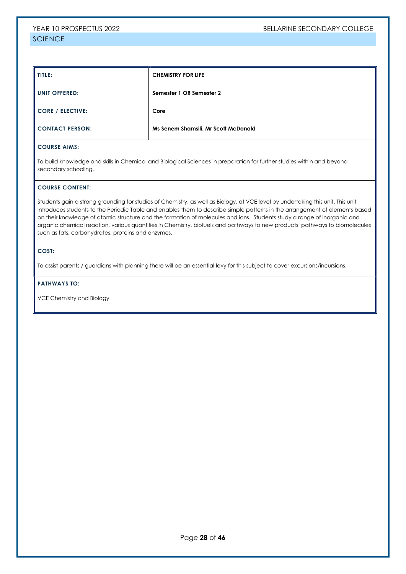| TITLE:                  | <b>CHEMISTRY FOR LIFE</b>            |
|-------------------------|--------------------------------------|
| <b>UNIT OFFERED:</b>    | Semester 1 OR Semester 2             |
| <b>CORE / ELECTIVE:</b> | Core                                 |
| <b>CONTACT PERSON:</b>  | Ms Senem Shamsili, Mr Scott McDonald |

To build knowledge and skills in Chemical and Biological Sciences in preparation for further studies within and beyond secondary schooling.

#### COURSE CONTENT:

Students gain a strong grounding for studies of Chemistry, as well as Biology, at VCE level by undertaking this unit. This unit introduces students to the Periodic Table and enables them to describe simple patterns in the arrangement of elements based on their knowledge of atomic structure and the formation of molecules and ions. Students study a range of inorganic and organic chemical reaction, various quantities in Chemistry, biofuels and pathways to new products, pathways to biomolecules such as fats, carbohydrates, proteins and enzymes.

#### COST:

To assist parents / guardians with planning there will be an essential levy for this subject to cover excursions/incursions.

#### PATHWAYS TO:

VCE Chemistry and Biology.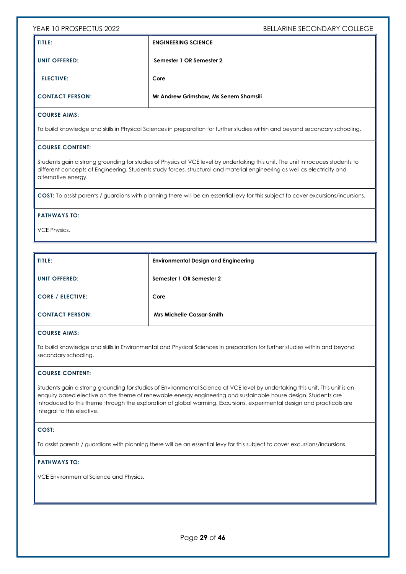| I TITLE:               | <b>ENGINEERING SCIENCE</b>            |
|------------------------|---------------------------------------|
| <b>I UNIT OFFERED:</b> | Semester 1 OR Semester 2              |
| <b>ELECTIVE:</b>       | Core                                  |
| I CONTACT PERSON:      | Mr Andrew Grimshaw, Ms Senem Shamsili |

### COURSE AIMS:

To build knowledge and skills in Physical Sciences in preparation for further studies within and beyond secondary schooling.

#### COURSE CONTENT:

Students gain a strong grounding for studies of Physics at VCE level by undertaking this unit. The unit introduces students to different concepts of Engineering. Students study forces, structural and material engineering as well as electricity and alternative energy.

COST: To assist parents / guardians with planning there will be an essential levy for this subject to cover excursions/incursions.

#### PATHWAYS TO:

VCE Physics.

| TITLE:                  | <b>Environmental Design and Engineering</b> |
|-------------------------|---------------------------------------------|
| <b>UNIT OFFERED:</b>    | Semester 1 OR Semester 2                    |
| <b>CORE / ELECTIVE:</b> | Core                                        |
| <b>CONTACT PERSON:</b>  | <b>Mrs Michelle Cassar-Smith</b>            |

#### COURSE AIMS:

To build knowledge and skills in Environmental and Physical Sciences in preparation for further studies within and beyond secondary schooling.

#### COURSE CONTENT:

Students gain a strong grounding for studies of Environmental Science at VCE level by undertaking this unit. This unit is an enquiry based elective on the theme of renewable energy engineering and sustainable house design. Students are introduced to this theme through the exploration of global warming. Excursions, experimental design and practicals are integral to this elective.

#### COST:

To assist parents / guardians with planning there will be an essential levy for this subject to cover excursions/incursions.

#### PATHWAYS TO:

VCE Environmental Science and Physics.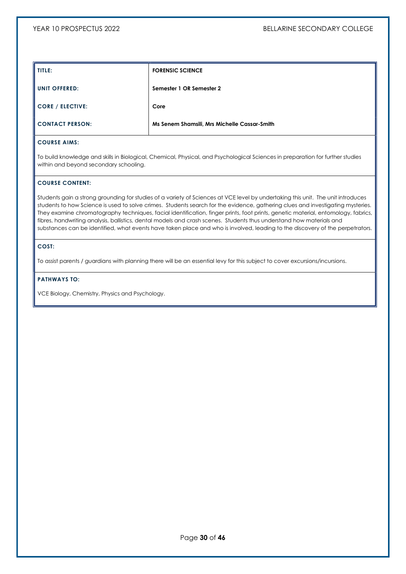| TITLE:                  | <b>FORENSIC SCIENCE</b>                      |
|-------------------------|----------------------------------------------|
| <b>UNIT OFFERED:</b>    | Semester 1 OR Semester 2                     |
| <b>CORE / ELECTIVE:</b> | Core                                         |
| <b>CONTACT PERSON:</b>  | Ms Senem Shamsili, Mrs Michelle Cassar-Smith |

To build knowledge and skills in Biological, Chemical, Physical, and Psychological Sciences in preparation for further studies within and beyond secondary schooling.

# COURSE CONTENT:

Students gain a strong grounding for studies of a variety of Sciences at VCE level by undertaking this unit. The unit introduces students to how Science is used to solve crimes. Students search for the evidence, gathering clues and investigating mysteries. They examine chromatography techniques, facial identification, finger prints, foot prints, genetic material, entomology, fabrics, fibres, handwriting analysis, ballistics, dental models and crash scenes. Students thus understand how materials and substances can be identified, what events have taken place and who is involved, leading to the discovery of the perpetrators.

### COST:

To assist parents / guardians with planning there will be an essential levy for this subject to cover excursions/incursions.

#### PATHWAYS TO:

VCE Biology, Chemistry, Physics and Psychology.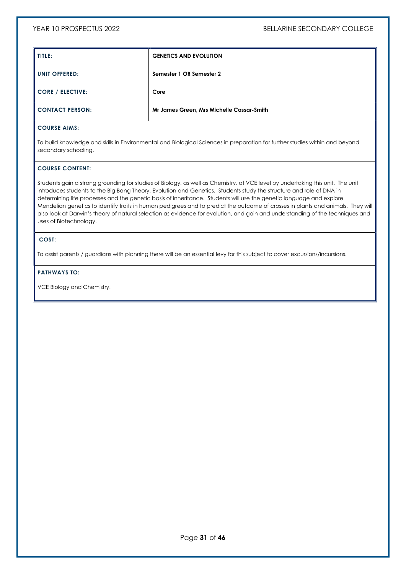| TITLE:                  | <b>GENETICS AND EVOLUTION</b>             |
|-------------------------|-------------------------------------------|
| <b>UNIT OFFERED:</b>    | Semester 1 OR Semester 2                  |
| <b>CORE / ELECTIVE:</b> | Core                                      |
| <b>CONTACT PERSON:</b>  | Mr James Green, Mrs Michelle Cassar-Smith |

To build knowledge and skills in Environmental and Biological Sciences in preparation for further studies within and beyond secondary schooling.

#### COURSE CONTENT:

Students gain a strong grounding for studies of Biology, as well as Chemistry, at VCE level by undertaking this unit. The unit introduces students to the Big Bang Theory, Evolution and Genetics. Students study the structure and role of DNA in determining life processes and the genetic basis of inheritance. Students will use the genetic language and explore Mendelian genetics to identify traits in human pedigrees and to predict the outcome of crosses in plants and animals. They will also look at Darwin's theory of natural selection as evidence for evolution, and gain and understanding of the techniques and uses of Biotechnology.

#### COST:

To assist parents / guardians with planning there will be an essential levy for this subject to cover excursions/incursions.

#### PATHWAYS TO:

VCE Biology and Chemistry.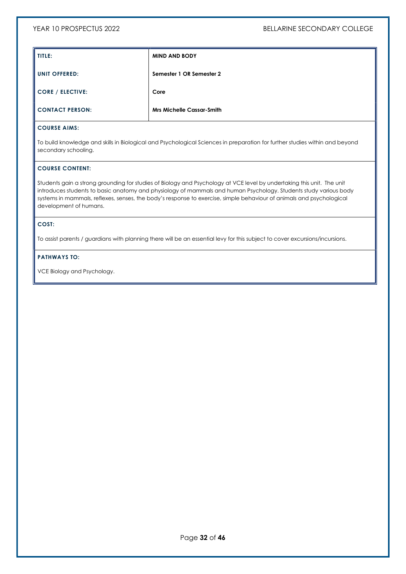| TITLE:                                    | <b>MIND AND BODY</b>             |
|-------------------------------------------|----------------------------------|
| UNIT OFFERED:                             | Semester 1 OR Semester 2         |
| $\overline{\phantom{a}}$ CORE / ELECTIVE: | Core                             |
| CONTACT PERSON:                           | <b>Mrs Michelle Cassar-Smith</b> |

To build knowledge and skills in Biological and Psychological Sciences in preparation for further studies within and beyond secondary schooling.

#### COURSE CONTENT:

Students gain a strong grounding for studies of Biology and Psychology at VCE level by undertaking this unit. The unit introduces students to basic anatomy and physiology of mammals and human Psychology. Students study various body systems in mammals, reflexes, senses, the body's response to exercise, simple behaviour of animals and psychological development of humans.

### COST:

To assist parents / guardians with planning there will be an essential levy for this subject to cover excursions/incursions.

## PATHWAYS TO:

VCE Biology and Psychology.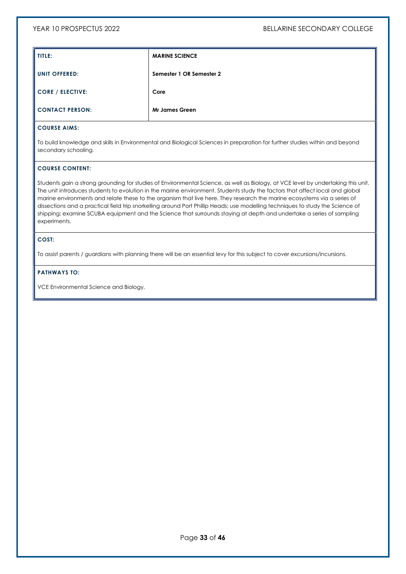| TITLE:                  | <b>MARINE SCIENCE</b>    |
|-------------------------|--------------------------|
| <b>UNIT OFFERED:</b>    | Semester 1 OR Semester 2 |
| <b>CORE / ELECTIVE:</b> | Core                     |
| <b>CONTACT PERSON:</b>  | <b>Mr James Green</b>    |

To build knowledge and skills in Environmental and Biological Sciences in preparation for further studies within and beyond secondary schooling.

#### COURSE CONTENT:

Students gain a strong grounding for studies of Environmental Science, as well as Biology, at VCE level by undertaking this unit. The unit introduces students to evolution in the marine environment. Students study the factors that affect local and global marine environments and relate these to the organism that live here. They research the marine ecosystems via a series of dissections and a practical field trip snorkelling around Port Phillip Heads; use modelling techniques to study the Science of shipping; examine SCUBA equipment and the Science that surrounds staying at depth and undertake a series of sampling experiments.

### COST:

To assist parents / guardians with planning there will be an essential levy for this subject to cover excursions/incursions.

### PATHWAYS TO:

VCE Environmental Science and Biology.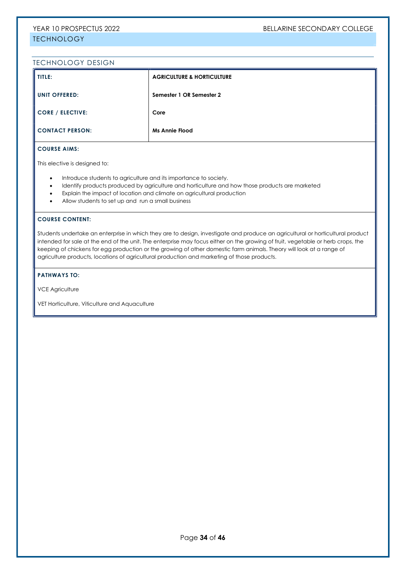### TECHNOLOGY DESIGN

| TITLE:                  | <b>AGRICULTURE &amp; HORTICULTURE</b> |
|-------------------------|---------------------------------------|
| <b>UNIT OFFERED:</b>    | Semester 1 OR Semester 2              |
| <b>CORE / ELECTIVE:</b> | Core                                  |
| <b>CONTACT PERSON:</b>  | <b>Ms Annie Flood</b>                 |

# COURSE AIMS:

This elective is designed to:

- $\bullet$  Introduce students to agriculture and its importance to society.
- Identify products produced by agriculture and horticulture and how those products are marketed
- Explain the impact of location and climate on agricultural production
- Allow students to set up and run a small business

#### COURSE CONTENT:

Students undertake an enterprise in which they are to design, investigate and produce an agricultural or horticultural product intended for sale at the end of the unit. The enterprise may focus either on the growing of fruit, vegetable or herb crops, the keeping of chickens for egg production or the growing of other domestic farm animals. Theory will look at a range of agriculture products, locations of agricultural production and marketing of those products.

#### PATHWAYS TO:

VCE Agriculture

VET Horticulture, Viticulture and Aquaculture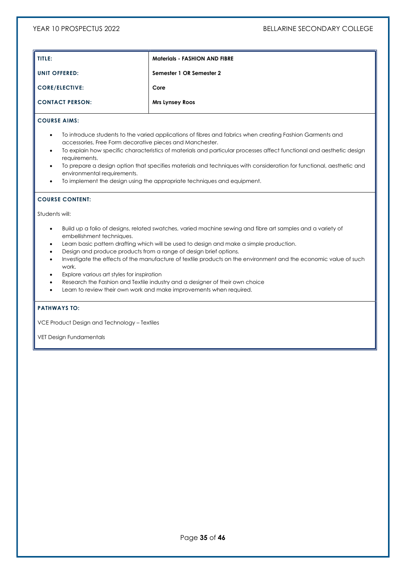| TITLE:                 | <b>Materials - FASHION AND FIBRE</b> |
|------------------------|--------------------------------------|
| UNIT OFFERED:          | Semester 1 OR Semester 2             |
| <b>CORE/ELECTIVE:</b>  | Core                                 |
| <b>CONTACT PERSON:</b> | Mrs Lynsey Roos                      |

- To introduce students to the varied applications of fibres and fabrics when creating Fashion Garments and accessories, Free Form decorative pieces and Manchester.
- To explain how specific characteristics of materials and particular processes affect functional and aesthetic design requirements.
- To prepare a design option that specifies materials and techniques with consideration for functional, aesthetic and environmental requirements.
- To implement the design using the appropriate techniques and equipment.

#### COURSE CONTENT:

Students will:

- Build up a folio of designs, related swatches, varied machine sewing and fibre art samples and a variety of embellishment techniques.
- Learn basic pattern drafting which will be used to design and make a simple production.
- Design and produce products from a range of design brief options.
- Investigate the effects of the manufacture of textile products on the environment and the economic value of such work.
- Explore various art styles for inspiration
- Research the Fashion and Textile industry and a designer of their own choice
- Learn to review their own work and make improvements when required.

#### PATHWAYS TO:

VCE Product Design and Technology – Textiles

VET Design Fundamentals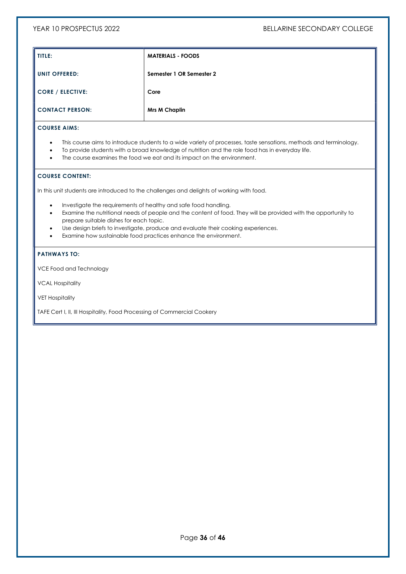| TITLE:                  | <b>MATERIALS - FOODS</b> |
|-------------------------|--------------------------|
| <b>UNIT OFFERED:</b>    | Semester 1 OR Semester 2 |
| <b>CORE / ELECTIVE:</b> | Core                     |
| <b>CONTACT PERSON:</b>  | <b>Mrs M Chaplin</b>     |

- This course aims to introduce students to a wide variety of processes, taste sensations, methods and terminology.
- To provide students with a broad knowledge of nutrition and the role food has in everyday life.
- The course examines the food we eat and its impact on the environment.

### COURSE CONTENT:

In this unit students are introduced to the challenges and delights of working with food.

- Investigate the requirements of healthy and safe food handling.
- Examine the nutritional needs of people and the content of food. They will be provided with the opportunity to prepare suitable dishes for each topic.
- Use design briefs to investigate, produce and evaluate their cooking experiences.
- Examine how sustainable food practices enhance the environment.

### PATHWAYS TO:

VCE Food and Technology

VCAL Hospitality

VET Hospitality

TAFE Cert I, II, III Hospitality, Food Processing of Commercial Cookery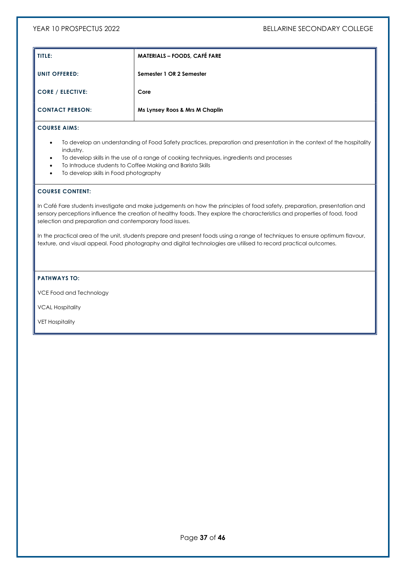| TITLE:                  | <b>MATERIALS - FOODS, CAFÉ FARE</b> |
|-------------------------|-------------------------------------|
| UNIT OFFERED:           | Semester 1 OR 2 Semester            |
| <b>CORE / ELECTIVE:</b> | Core                                |
| <b>CONTACT PERSON:</b>  | Ms Lynsey Roos & Mrs M Chaplin      |

#### COURSE AIMS:

- To develop an understanding of Food Safety practices, preparation and presentation in the context of the hospitality industry.
- To develop skills in the use of a range of cooking techniques, ingredients and processes
- To Introduce students to Coffee Making and Barista Skills
- To develop skills in Food photography

#### COURSE CONTENT:

In Café Fare students investigate and make judgements on how the principles of food safety, preparation, presentation and sensory perceptions influence the creation of healthy foods. They explore the characteristics and properties of food, food selection and preparation and contemporary food issues.

In the practical area of the unit, students prepare and present foods using a range of techniques to ensure optimum flavour, texture, and visual appeal. Food photography and digital technologies are utilised to record practical outcomes.

#### PATHWAYS TO:

VCE Food and Technology

VCAL Hospitality

VET Hospitality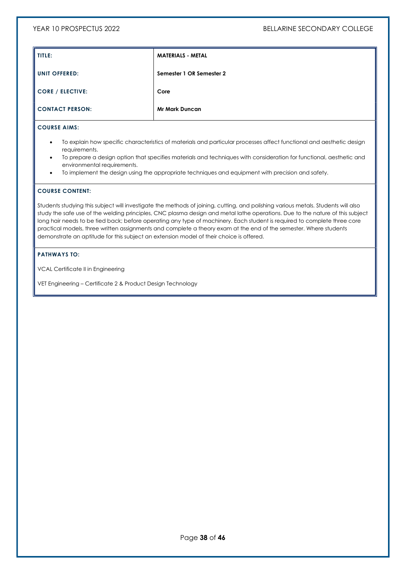| TITLE:                  | <b>MATERIALS - METAL</b> |
|-------------------------|--------------------------|
| <b>UNIT OFFERED:</b>    | Semester 1 OR Semester 2 |
| <b>CORE / ELECTIVE:</b> | Core                     |
| <b>CONTACT PERSON:</b>  | <b>Mr Mark Duncan</b>    |

#### COURSE AIMS:

- To explain how specific characteristics of materials and particular processes affect functional and aesthetic design requirements.
- To prepare a design option that specifies materials and techniques with consideration for functional, aesthetic and environmental requirements.
- To implement the design using the appropriate techniques and equipment with precision and safety.

# COURSE CONTENT:

Students studying this subject will investigate the methods of joining, cutting, and polishing various metals. Students will also study the safe use of the welding principles, CNC plasma design and metal lathe operations. Due to the nature of this subject long hair needs to be tied back; before operating any type of machinery. Each student is required to complete three core practical models, three written assignments and complete a theory exam at the end of the semester. Where students demonstrate an aptitude for this subject an extension model of their choice is offered.

#### PATHWAYS TO:

VCAL Certificate II in Engineering

VET Engineering – Certificate 2 & Product Design Technology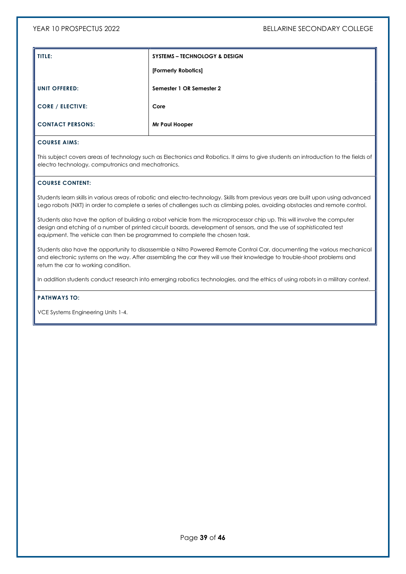| TITLE:                  | <b>SYSTEMS – TECHNOLOGY &amp; DESIGN</b> |
|-------------------------|------------------------------------------|
|                         | [Formerly Robotics]                      |
| <b>UNIT OFFERED:</b>    | Semester 1 OR Semester 2                 |
| <b>CORE / ELECTIVE:</b> | Core                                     |
| <b>CONTACT PERSONS:</b> | Mr Paul Hooper                           |

This subject covers areas of technology such as Electronics and Robotics. It aims to give students an introduction to the fields of electro technology, computronics and mechatronics.

#### COURSE CONTENT:

Students learn skills in various areas of robotic and electro-technology. Skills from previous years are built upon using advanced Lego robots (NXT) in order to complete a series of challenges such as climbing poles, avoiding obstacles and remote control.

Students also have the option of building a robot vehicle from the microprocessor chip up. This will involve the computer design and etching of a number of printed circuit boards, development of sensors, and the use of sophisticated test equipment. The vehicle can then be programmed to complete the chosen task.

Students also have the opportunity to disassemble a Nitro Powered Remote Control Car, documenting the various mechanical and electronic systems on the way. After assembling the car they will use their knowledge to trouble-shoot problems and return the car to working condition.

In addition students conduct research into emerging robotics technologies, and the ethics of using robots in a military context.

#### PATHWAYS TO:

VCE Systems Engineering Units 1-4.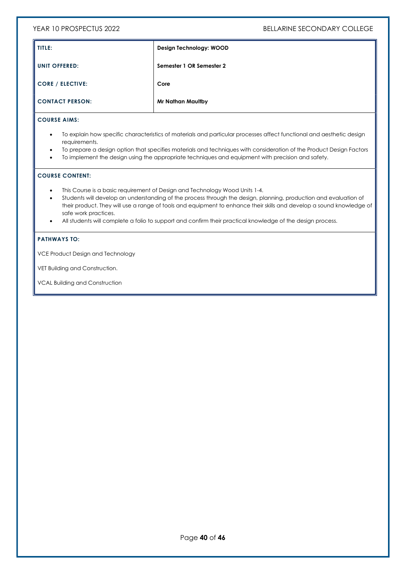| TITLE:                  | Design Technology: WOOD  |
|-------------------------|--------------------------|
| <b>UNIT OFFERED:</b>    | Semester 1 OR Semester 2 |
| <b>CORE / ELECTIVE:</b> | Core                     |
| <b>CONTACT PERSON:</b>  | <b>Mr Nathan Maultby</b> |

# COURSE AIMS:

- To explain how specific characteristics of materials and particular processes affect functional and aesthetic design requirements.
- To prepare a design option that specifies materials and techniques with consideration of the Product Design Factors
- To implement the design using the appropriate techniques and equipment with precision and safety.

### COURSE CONTENT:

- This Course is a basic requirement of Design and Technology Wood Units 1-4.
- Students will develop an understanding of the process through the design, planning, production and evaluation of their product. They will use a range of tools and equipment to enhance their skills and develop a sound knowledge of safe work practices.
- All students will complete a folio to support and confirm their practical knowledge of the design process.

#### PATHWAYS TO:

VCE Product Design and Technology

VET Building and Construction.

VCAL Building and Construction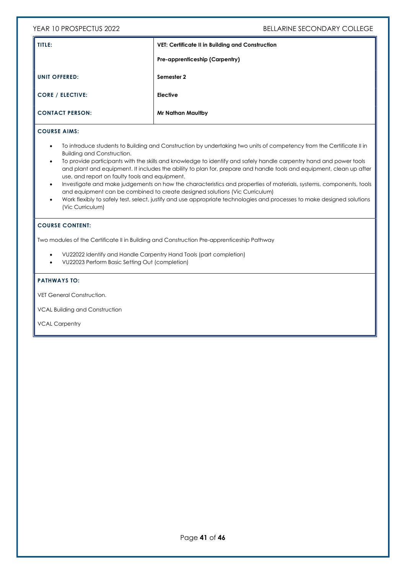| TITLE:                  | <b>VET: Certificate II in Building and Construction</b> |
|-------------------------|---------------------------------------------------------|
|                         | Pre-apprenticeship (Carpentry)                          |
| <b>UNIT OFFERED:</b>    | Semester 2                                              |
| <b>CORE / ELECTIVE:</b> | <b>Elective</b>                                         |
| <b>CONTACT PERSON:</b>  | <b>Mr Nathan Maultby</b>                                |

# COURSE AIMS:

- To introduce students to Building and Construction by undertaking two units of competency from the Certificate II in Building and Construction.
- To provide participants with the skills and knowledge to identify and safely handle carpentry hand and power tools and plant and equipment. It includes the ability to plan for, prepare and handle tools and equipment, clean up after use, and report on faulty tools and equipment.
- Investigate and make judgements on how the characteristics and properties of materials, systems, components, tools and equipment can be combined to create designed solutions (Vic Curriculum)
- Work flexibly to safely test, select, justify and use appropriate technologies and processes to make designed solutions (Vic Curriculum)

#### COURSE CONTENT:

Two modules of the Certificate II in Building and Construction Pre-apprenticeship Pathway

- VU22022 Identify and Handle Carpentry Hand Tools (part completion)
- VU22023 Perform Basic Setting Out (completion)

#### PATHWAYS TO:

VET General Construction.

VCAL Building and Construction

VCAL Carpentry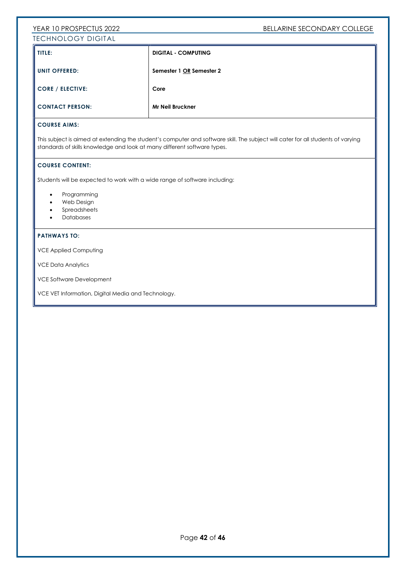# YEAR 10 PROSPECTUS 2022 THE SECONDARY COLLEGE TECHNOLOGY DIGITAL

| TITLE:                       | <b>DIGITAL - COMPUTING</b> |  |
|------------------------------|----------------------------|--|
| I UNIT OFFERED:              | Semester 1 OR Semester 2   |  |
| $\parallel$ CORE / ELECTIVE: | Core                       |  |
| CONTACT PERSON:              | Mr Neil Bruckner           |  |

# COURSE AIMS:

This subject is aimed at extending the student's computer and software skill. The subject will cater for all students of varying standards of skills knowledge and look at many different software types.

#### COURSE CONTENT:

Students will be expected to work with a wide range of software including:

- Programming
- Web Design
- Spreadsheets
- Databases

#### PATHWAYS TO:

VCE Applied Computing

VCE Data Analytics

VCE Software Development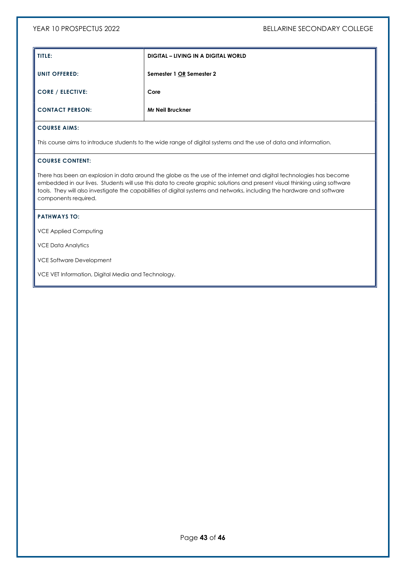| TITLE:                  | DIGITAL – LIVING IN A DIGITAL WORLD |
|-------------------------|-------------------------------------|
| <b>UNIT OFFERED:</b>    | Semester 1 OR Semester 2            |
| <b>CORE / ELECTIVE:</b> | Core                                |
| <b>CONTACT PERSON:</b>  | <b>Mr Neil Bruckner</b>             |

This course aims to introduce students to the wide range of digital systems and the use of data and information.

## COURSE CONTENT:

There has been an explosion in data around the globe as the use of the internet and digital technologies has become embedded in our lives. Students will use this data to create graphic solutions and present visual thinking using software tools. They will also investigate the capabilities of digital systems and networks, including the hardware and software components required.

#### PATHWAYS TO:

VCE Applied Computing

VCE Data Analytics

VCE Software Development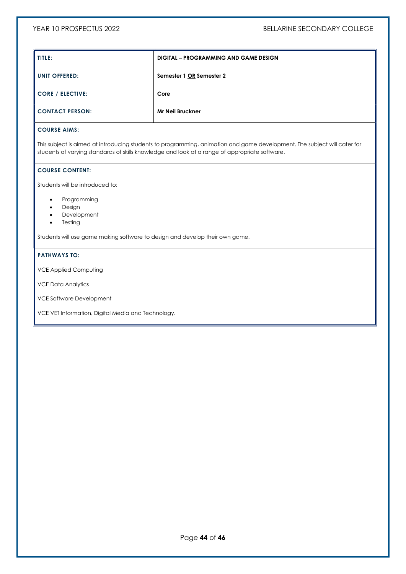| TITLE:                  | <b>DIGITAL – PROGRAMMING AND GAME DESIGN</b> |
|-------------------------|----------------------------------------------|
| <b>UNIT OFFERED:</b>    | Semester 1 OR Semester 2                     |
| <b>CORE / ELECTIVE:</b> | Core                                         |
| <b>CONTACT PERSON:</b>  | <b>Mr Neil Bruckner</b>                      |

This subject is aimed at introducing students to programming, animation and game development. The subject will cater for students of varying standards of skills knowledge and look at a range of appropriate software.

# COURSE CONTENT:

Students will be introduced to:

- Programming
- **•** Design
- Development
- Testing

Students will use game making software to design and develop their own game.

#### PATHWAYS TO:

VCE Applied Computing

VCE Data Analytics

VCE Software Development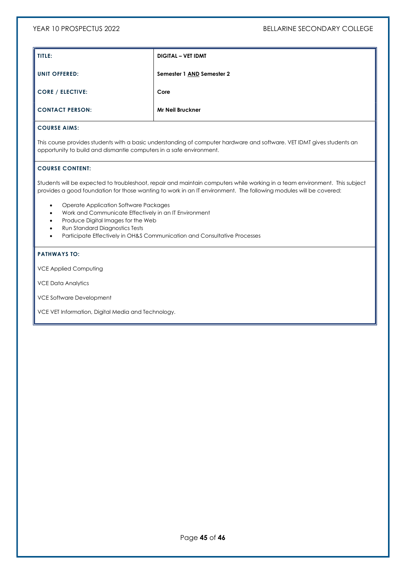| TITLE:                  | <b>DIGITAL - VET IDMT</b> |
|-------------------------|---------------------------|
| <b>UNIT OFFERED:</b>    | Semester 1 AND Semester 2 |
| <b>CORE / ELECTIVE:</b> | Core                      |
| <b>CONTACT PERSON:</b>  | <b>Mr Neil Bruckner</b>   |

#### COURSE AIMS:

This course provides students with a basic understanding of computer hardware and software. VET IDMT gives students an opportunity to build and dismantle computers in a safe environment.

#### COURSE CONTENT:

Students will be expected to troubleshoot, repair and maintain computers while working in a team environment. This subject provides a good foundation for those wanting to work in an IT environment. The following modules will be covered:

- Operate Application Software Packages
- Work and Communicate Effectively in an IT Environment
- Produce Digital Images for the Web
- Run Standard Diagnostics Tests
- Participate Effectively in OH&S Communication and Consultative Processes

#### PATHWAYS TO:

VCE Applied Computing

VCE Data Analytics

VCE Software Development